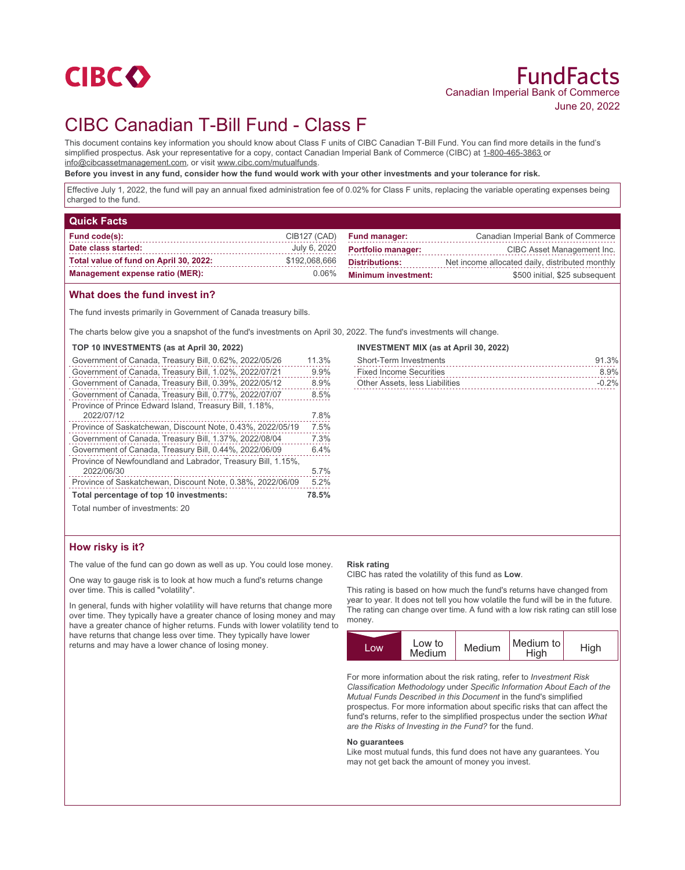

# CIBC Canadian T-Bill Fund - Class F

This document contains key information you should know about Class F units of CIBC Canadian T-Bill Fund. You can find more details in the fund's simplified prospectus. Ask your representative for a copy, contact Canadian Imperial Bank of Commerce (CIBC) at 1-800-465-3863 or info@cibcassetmanagement.com, or visit www.cibc.com/mutualfunds.

**Before you invest in any fund, consider how the fund would work with your other investments and your tolerance for risk.**

Effective July 1, 2022, the fund will pay an annual fixed administration fee of 0.02% for Class F units, replacing the variable operating expenses being charged to the fund.

| <b>Quick Facts</b>                     |               |                            |                                                 |
|----------------------------------------|---------------|----------------------------|-------------------------------------------------|
| Fund code(s):                          | CIB127 (CAD)  | <b>Fund manager:</b>       | Canadian Imperial Bank of Commerce              |
| Date class started:                    | July 6, 2020  | <b>Portfolio manager:</b>  | CIBC Asset Management Inc.                      |
| Total value of fund on April 30, 2022: | \$192,068,666 | <b>Distributions:</b>      | Net income allocated daily, distributed monthly |
| <b>Management expense ratio (MER):</b> | $0.06\%$      | <b>Minimum investment:</b> | \$500 initial, \$25 subsequent                  |

## **What does the fund invest in?**

The fund invests primarily in Government of Canada treasury bills.

The charts below give you a snapshot of the fund's investments on April 30, 2022. The fund's investments will change.

| TOP 10 INVESTMENTS (as at April 30, 2022) |  |
|-------------------------------------------|--|
|-------------------------------------------|--|

| Government of Canada, Treasury Bill, 0.62%, 2022/05/26       | 11.3% |
|--------------------------------------------------------------|-------|
| Government of Canada, Treasury Bill, 1.02%, 2022/07/21       | 9.9%  |
| Government of Canada, Treasury Bill, 0.39%, 2022/05/12       | 8.9%  |
| Government of Canada, Treasury Bill, 0.77%, 2022/07/07       | 8.5%  |
| Province of Prince Edward Island, Treasury Bill, 1.18%,      |       |
| 2022/07/12                                                   | 7.8%  |
| Province of Saskatchewan, Discount Note, 0.43%, 2022/05/19   | 7.5%  |
| Government of Canada, Treasury Bill, 1.37%, 2022/08/04       | 7.3%  |
| Government of Canada, Treasury Bill, 0.44%, 2022/06/09       | 6.4%  |
| Province of Newfoundland and Labrador, Treasury Bill, 1.15%, |       |
| 2022/06/30                                                   | 5.7%  |
| Province of Saskatchewan, Discount Note, 0.38%, 2022/06/09   | 5.2%  |
| Total percentage of top 10 investments:                      | 78.5% |
|                                                              |       |

## **INVESTMENT MIX (as at April 30, 2022)**

| <b>Short-Term Investments</b>  | 91.3%    |
|--------------------------------|----------|
| <b>Fixed Income Securities</b> | 8.9%     |
| Other Assets, less Liabilities | $-0.2\%$ |

Total number of investments: 20

## **How risky is it?**

The value of the fund can go down as well as up. You could lose money.

One way to gauge risk is to look at how much a fund's returns change over time. This is called "volatility".

In general, funds with higher volatility will have returns that change more over time. They typically have a greater chance of losing money and may have a greater chance of higher returns. Funds with lower volatility tend to have returns that change less over time. They typically have lower returns and may have a lower chance of losing money.

#### **Risk rating**

CIBC has rated the volatility of this fund as **Low**.

This rating is based on how much the fund's returns have changed from year to year. It does not tell you how volatile the fund will be in the future. The rating can change over time. A fund with a low risk rating can still lose money.

| LOW | Low to<br>Medium | Medium | Medium to<br>High | High |
|-----|------------------|--------|-------------------|------|
|     |                  |        |                   |      |

For more information about the risk rating, refer to *Investment Risk Classification Methodology* under *Specific Information About Each of the Mutual Funds Described in this Document* in the fund's simplified prospectus. For more information about specific risks that can affect the fund's returns, refer to the simplified prospectus under the section *What are the Risks of Investing in the Fund?* for the fund.

#### **No guarantees**

Like most mutual funds, this fund does not have any guarantees. You may not get back the amount of money you invest.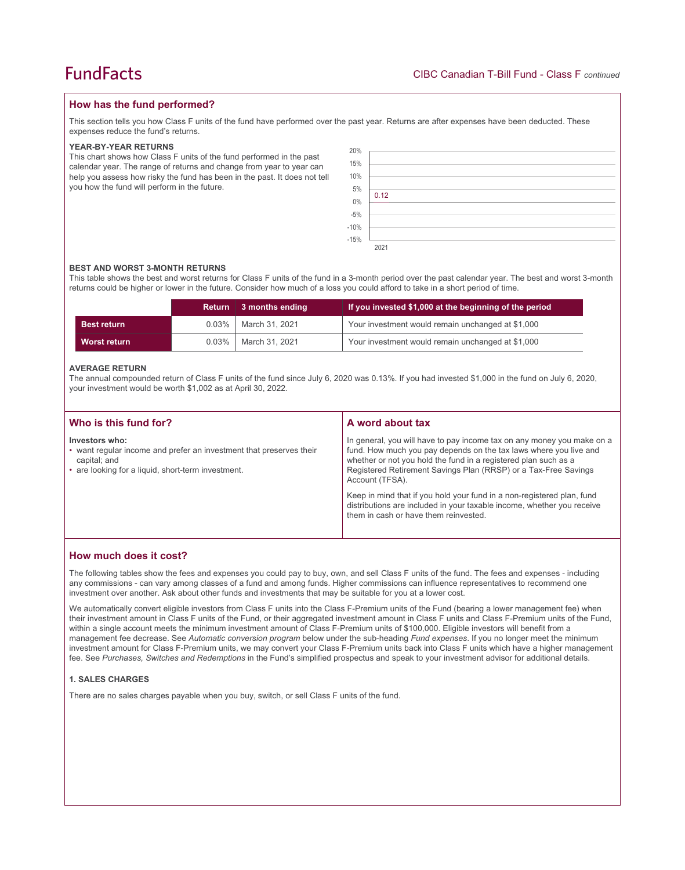## **How has the fund performed?**

This section tells you how Class F units of the fund have performed over the past year. Returns are after expenses have been deducted. These expenses reduce the fund's returns.

#### **YEAR-BY-YEAR RETURNS**

This chart shows how Class F units of the fund performed in the past calendar year. The range of returns and change from year to year can help you assess how risky the fund has been in the past. It does not tell you how the fund will perform in the future.

| 20%                        |      |
|----------------------------|------|
| 15%                        |      |
| 10%                        |      |
| $5\%$<br>0%<br>-5%<br>-10% |      |
|                            | 0.12 |
|                            |      |
|                            |      |
|                            |      |
| $-15%$                     |      |
|                            | 2021 |

#### **BEST AND WORST 3-MONTH RETURNS**

This table shows the best and worst returns for Class F units of the fund in a 3-month period over the past calendar year. The best and worst 3-month returns could be higher or lower in the future. Consider how much of a loss you could afford to take in a short period of time.

|                    |          | Return 3 months ending | If you invested \$1,000 at the beginning of the period |
|--------------------|----------|------------------------|--------------------------------------------------------|
| <b>Best return</b> | $0.03\%$ | March 31, 2021         | Your investment would remain unchanged at \$1,000      |
| Worst return       | $0.03\%$ | March 31, 2021         | Your investment would remain unchanged at \$1,000      |

#### **AVERAGE RETURN**

The annual compounded return of Class F units of the fund since July 6, 2020 was 0.13%. If you had invested \$1,000 in the fund on July 6, 2020, your investment would be worth \$1,002 as at April 30, 2022.

| Who is this fund for?                                                                                                                                       | A word about tax                                                                                                                                                                                                                                                                                     |  |
|-------------------------------------------------------------------------------------------------------------------------------------------------------------|------------------------------------------------------------------------------------------------------------------------------------------------------------------------------------------------------------------------------------------------------------------------------------------------------|--|
| Investors who:<br>• want regular income and prefer an investment that preserves their<br>capital; and<br>• are looking for a liquid, short-term investment. | In general, you will have to pay income tax on any money you make on a<br>fund. How much you pay depends on the tax laws where you live and<br>whether or not you hold the fund in a registered plan such as a<br>Registered Retirement Savings Plan (RRSP) or a Tax-Free Savings<br>Account (TFSA). |  |
|                                                                                                                                                             | Keep in mind that if you hold your fund in a non-registered plan, fund<br>distributions are included in your taxable income, whether you receive<br>them in cash or have them reinvested.                                                                                                            |  |

## **How much does it cost?**

The following tables show the fees and expenses you could pay to buy, own, and sell Class F units of the fund. The fees and expenses - including any commissions - can vary among classes of a fund and among funds. Higher commissions can influence representatives to recommend one investment over another. Ask about other funds and investments that may be suitable for you at a lower cost.

We automatically convert eligible investors from Class F units into the Class F-Premium units of the Fund (bearing a lower management fee) when their investment amount in Class F units of the Fund, or their aggregated investment amount in Class F units and Class F-Premium units of the Fund, within a single account meets the minimum investment amount of Class F-Premium units of \$100,000. Eligible investors will benefit from a management fee decrease. See *Automatic conversion program* below under the sub-heading *Fund expenses*. If you no longer meet the minimum investment amount for Class F-Premium units, we may convert your Class F-Premium units back into Class F units which have a higher management fee. See *Purchases, Switches and Redemptions* in the Fund's simplified prospectus and speak to your investment advisor for additional details.

#### **1. SALES CHARGES**

There are no sales charges payable when you buy, switch, or sell Class F units of the fund.